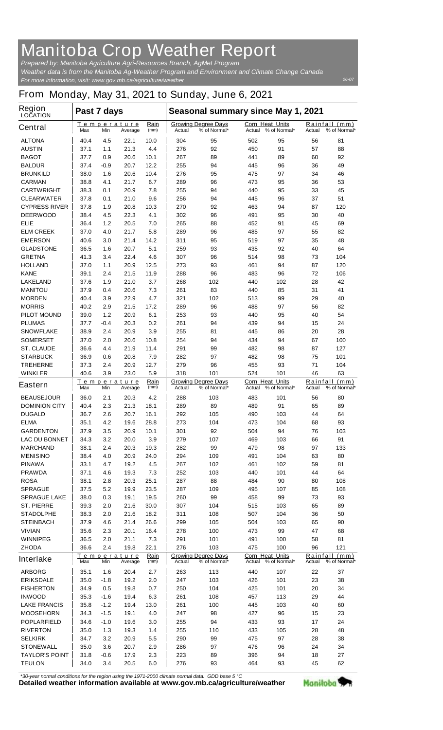## **Manitoba Crop Weather Report**

*For more information, visit: www.gov.mb.ca/agriculture/weather Prepared by: Manitoba Agriculture Agri-Resources Branch, AgMet Program Weather data is from the Manitoba Ag-Weather Program and Environment and Climate Change Canada*

## **From Monday, May 31, 2021 to Sunday, June 6, 2021**

| <b>Region</b><br><b>LOCATION</b>          | Past 7 days                          |             |                        |                                                      | Seasonal summary since May 1, 2021                                        |                                            |                                  |                                            |                      |                               |  |
|-------------------------------------------|--------------------------------------|-------------|------------------------|------------------------------------------------------|---------------------------------------------------------------------------|--------------------------------------------|----------------------------------|--------------------------------------------|----------------------|-------------------------------|--|
| <b>Central</b>                            | <b>Max</b>                           | Min         | Temperature<br>Average | Rain<br>(mm)                                         | Actual                                                                    | <b>Growing Degree Days</b><br>% of Normal* | <b>Corn Heat Units</b><br>Actual | % of Normal*                               | Actual               | Rainfall (mm)<br>% of Normal* |  |
| <b>ALTONA</b>                             | 40.4                                 | 4.5         | 22.1                   | 10.0                                                 | 304                                                                       | 95                                         | 502                              | 95                                         | 56                   | 81                            |  |
| <b>AUSTIN</b>                             | 37.1                                 | 1.1         | 21.3                   | 4.4                                                  | 276                                                                       | 92                                         | 450                              | 91                                         | 57                   | 88                            |  |
| <b>BAGOT</b>                              | 37.7                                 | 0.9         | 20.6                   | 10.1                                                 | 267                                                                       | 89                                         | 441                              | 89                                         | 60                   | 92                            |  |
| <b>BALDUR</b>                             | 37.4                                 | -0.9        | 20.7                   | 12.2                                                 | 255                                                                       | 94                                         | 445                              | 96                                         | 36                   | 49                            |  |
| <b>BRUNKILD</b>                           | 38.0                                 | 1.6         | 20.6                   | 10.4                                                 | 276                                                                       | 95                                         | 475                              | 97                                         | 34                   | 46                            |  |
| <b>CARMAN</b>                             | 38.8                                 | 4.1         | 21.7                   | 6.7                                                  | 289                                                                       | 96                                         | 473                              | 95                                         | 36                   | 53                            |  |
| <b>CARTWRIGHT</b><br><b>CLEARWATER</b>    | 38.3<br>37.8                         | 0.1<br>0.1  | 20.9<br>21.0           | 7.8<br>9.6                                           | 255<br>256                                                                | 94<br>94                                   | 440<br>445                       | 95<br>96                                   | 33<br>37             | 45<br>51                      |  |
| <b>CYPRESS RIVER</b>                      | 37.8                                 | 1.9         | 20.8                   | 10.3                                                 | 270                                                                       | 92                                         | 463                              | 94                                         | 87                   | 120                           |  |
| <b>DEERWOOD</b>                           | 38.4                                 | 4.5         | 22.3                   | 4.1                                                  | 302                                                                       | 96                                         | 491                              | 95                                         | 30                   | 40                            |  |
| <b>ELIE</b>                               | 36.4                                 | 1.2         | 20.5                   | 7.0                                                  | 265                                                                       | 88                                         | 452                              | 91                                         | 45                   | 69                            |  |
| <b>ELM CREEK</b>                          | 37.0                                 | 4.0         | 21.7                   | 5.8                                                  | 289                                                                       | 96                                         | 485                              | 97                                         | 55                   | 82                            |  |
| <b>EMERSON</b>                            | 40.6                                 | 3.0         | 21.4                   | 14.2                                                 | 311                                                                       | 95                                         | 519                              | 97                                         | 35                   | 48                            |  |
| <b>GLADSTONE</b>                          | 36.5                                 | 1.6         | 20.7                   | 5.1                                                  | 259                                                                       | 93                                         | 435                              | 92                                         | 40                   | 64                            |  |
| <b>GRETNA</b>                             | 41.3                                 | 3.4         | 22.4                   | 4.6                                                  | 307                                                                       | 96                                         | 514                              | 98                                         | 73                   | 104                           |  |
| <b>HOLLAND</b>                            | 37.0                                 | 1.1         | 20.9                   | 12.5                                                 | 273                                                                       | 93                                         | 461                              | 94                                         | 87                   | 120                           |  |
| <b>KANE</b>                               | 39.1                                 | 2.4         | 21.5                   | 11.9                                                 | 288                                                                       | 96                                         | 483                              | 96                                         | 72                   | 106                           |  |
| <b>LAKELAND</b>                           | 37.6                                 | 1.9         | 21.0                   | 3.7                                                  | 268                                                                       | 102                                        | 440                              | 102                                        | 28                   | 42                            |  |
| <b>MANITOU</b>                            | 37.9                                 | 0.4         | 20.6                   | 7.3                                                  | 261                                                                       | 83                                         | 440                              | 85                                         | 31                   | 41                            |  |
| <b>MORDEN</b>                             | 40.4                                 | 3.9         | 22.9                   | 4.7                                                  | 321                                                                       | 102                                        | 513                              | 99                                         | 29                   | 40                            |  |
| <b>MORRIS</b>                             | 40.2                                 | 2.9         | 21.5                   | 17.2                                                 | 289                                                                       | 96                                         | 488                              | 97                                         | 56                   | 82                            |  |
| <b>PILOT MOUND</b>                        | 39.0                                 | 1.2         | 20.9                   | 6.1                                                  | 253                                                                       | 93                                         | 440                              | 95                                         | 40                   | 54                            |  |
| <b>PLUMAS</b>                             | 37.7                                 | $-0.4$      | 20.3                   | 0.2                                                  | 261                                                                       | 94                                         | 439                              | 94                                         | 15                   | 24                            |  |
| <b>SNOWFLAKE</b>                          | 38.9                                 | 2.4         | 20.9                   | 3.9                                                  | 255                                                                       | 81                                         | 445                              | 86                                         | 20                   | 28                            |  |
| <b>SOMERSET</b>                           | 37.0                                 | 2.0         | 20.6                   | 10.8                                                 | 254                                                                       | 94                                         | 434                              | 94                                         | 67                   | 100                           |  |
| <b>ST. CLAUDE</b>                         | 36.6                                 | 4.4         | 21.9                   | 11.4                                                 | 291                                                                       | 99                                         | 482                              | 98                                         | 87                   | 127                           |  |
| <b>STARBUCK</b>                           | 36.9                                 | 0.6         | 20.8                   | 7.9                                                  | 282                                                                       | 97                                         | 482                              | 98                                         | 75                   | 101                           |  |
| <b>TREHERNE</b>                           | 37.3                                 | 2.4         | 20.9                   | 12.7                                                 | 279                                                                       | 96                                         | 455                              | 93                                         | 71                   | 104                           |  |
| <b>WINKLER</b>                            | 40.6                                 | 3.9         | 23.0<br>Temperature    | 5.9<br>Rain                                          | 318<br>101<br>524<br>101<br>Corn Heat Units<br><b>Growing Degree Days</b> |                                            |                                  |                                            | 46<br>63<br>Rainfall |                               |  |
| <b>Eastern</b>                            | Max                                  | Min         | Average                | (mm)                                                 | Actual                                                                    | % of Normal*                               | Actual                           | % of Normal*                               | <b>Actual</b>        | (mm)<br>% of Normal*          |  |
| <b>BEAUSEJOUR</b>                         | 36.0                                 | 2.1         | 20.3                   | 4.2                                                  | 288                                                                       | 103                                        | 483                              | 101                                        | 56                   | 80                            |  |
| <b>DOMINION CITY</b>                      | 40.4                                 | 2.3         | 21.3                   | 18.1                                                 | 289                                                                       | 89                                         | 489                              | 91                                         | 65                   | 89                            |  |
| <b>DUGALD</b>                             | 36.7                                 | 2.6         | 20.7                   | 16.1                                                 | 292                                                                       | 105                                        | 490                              | 103                                        | 44                   | 64                            |  |
| <b>ELMA</b>                               | 35.1                                 | 4.2         | 19.6                   | 28.8                                                 | 273                                                                       | 104                                        | 473                              | 104                                        | 68                   | 93                            |  |
| <b>GARDENTON</b>                          | 37.9                                 | 3.5         | 20.9                   | 10.1                                                 | 301                                                                       | 92                                         | 504                              | 94                                         | 76                   | 103                           |  |
| <b>LAC DU BONNET</b>                      | 34.3                                 | 3.2         | 20.0                   | 3.9                                                  | 279                                                                       | 107                                        | 469<br>479                       | 103                                        | 66<br>97             | 91                            |  |
| <b>MARCHAND</b><br><b>MENISINO</b>        | 38.1<br>38.4                         | 2.4<br>4.0  | 20.3<br>20.9           | 19.3<br>24.0                                         | 282<br>294                                                                | 99<br>109                                  | 491                              | 98<br>104                                  | 63                   | 133<br>80                     |  |
| <b>PINAWA</b>                             | 33.1                                 | 4.7         | 19.2                   | 4.5                                                  | 267                                                                       | 102                                        | 461                              | 102                                        | 59                   | 81                            |  |
| <b>PRAWDA</b>                             | 37.1                                 | 4.6         | 19.3                   | 7.3                                                  | 252                                                                       | 103                                        | 440                              | 101                                        | 44                   | 64                            |  |
| <b>ROSA</b>                               | 38.1                                 | 2.8         | 20.3                   | 25.1                                                 | 287                                                                       | 88                                         | 484                              | 90                                         | 80                   | 108                           |  |
| <b>SPRAGUE</b>                            | 37.5                                 | 5.2         | 19.9                   | 23.5                                                 | 287                                                                       | 109                                        | 495                              | 107                                        | 85                   | 108                           |  |
| <b>SPRAGUE LAKE</b>                       | 38.0                                 | 0.3         | 19.1                   | 19.5                                                 | 260                                                                       | 99                                         | 458                              | 99                                         | 73                   | 93                            |  |
| <b>ST. PIERRE</b>                         | 39.3                                 | 2.0         | 21.6                   | 30.0                                                 | 307                                                                       | 104                                        | 515                              | 103                                        | 65                   | 89                            |  |
| <b>STADOLPHE</b>                          | 38.3                                 | 2.0         | 21.6                   | 18.2                                                 | 311                                                                       | 108                                        | 507                              | 104                                        | 36                   | 50                            |  |
| <b>STEINBACH</b>                          | 37.9                                 | 4.6         | 21.4                   | 26.6                                                 | 299                                                                       | 105                                        | 504                              | 103                                        | 65                   | 90                            |  |
| <b>VIVIAN</b>                             | 35.6                                 | 2.3         | 20.1                   | 16.4                                                 | 278                                                                       | 100                                        | 473                              | 99                                         | 47                   | 68                            |  |
| <b>WINNIPEG</b>                           | 36.5                                 | 2.0         | 21.1                   | 7.3                                                  | 291                                                                       | 101                                        | 491                              | 100                                        | 58                   | 81                            |  |
| <b>ZHODA</b>                              | 36.6                                 | 2.4         | 19.8                   | 22.1                                                 | 276                                                                       | 103                                        | 475                              | 100                                        | 96                   | 121                           |  |
| <b>Interlake</b>                          | Temperature<br>Min<br>Max<br>Average |             | Rain<br>(mm)           | <b>Growing Degree Days</b><br>% of Normal*<br>Actual |                                                                           | Corn Heat Units<br>Actual % of Normal*     |                                  | Rainfall<br>(mm)<br>% of Normal*<br>Actual |                      |                               |  |
| <b>ARBORG</b>                             | 35.1                                 | 1.6         | 20.4                   | 2.7                                                  | 263                                                                       | 113                                        | 440                              | 107                                        | 22                   | 37                            |  |
| <b>ERIKSDALE</b>                          | 35.0                                 | -1.8        | 19.2                   | 2.0                                                  | 247                                                                       | 103                                        | 426                              | 101                                        | 23                   | 38                            |  |
| <b>FISHERTON</b>                          | 34.9                                 | 0.5         | 19.8                   | 0.7                                                  | 250                                                                       | 104                                        | 425                              | 101                                        | 20                   | 34                            |  |
| <b>INWOOD</b>                             | 35.3                                 | -1.6        | 19.4                   | 6.3                                                  | 261                                                                       | 108                                        | 457                              | 113                                        | 29                   | 44                            |  |
| <b>LAKE FRANCIS</b>                       | 35.8                                 | $-1.2$      | 19.4                   | 13.0                                                 | 261                                                                       | 100                                        | 445                              | 103                                        | 40                   | 60                            |  |
| <b>MOOSEHORN</b>                          | 34.3                                 | $-1.5$      | 19.1                   | 4.0                                                  | 247                                                                       | 98                                         | 427                              | 96                                         | 15                   | 23                            |  |
| <b>POPLARFIELD</b>                        | 34.6                                 | -1.0        | 19.6                   | 3.0                                                  | 255                                                                       | 94                                         | 433                              | 93                                         | 17                   | 24                            |  |
| <b>RIVERTON</b>                           | 35.0                                 | 1.3         | 19.3                   | 1.4                                                  | 255                                                                       | 110                                        | 433                              | 105                                        | 28                   | 48                            |  |
| <b>SELKIRK</b>                            | 34.7                                 | 3.2         | 20.9                   | 5.5                                                  | 290                                                                       | 99                                         | 475                              | 97                                         | 28                   | 38                            |  |
| <b>STONEWALL</b><br><b>TAYLOR'S POINT</b> | 35.0                                 | 3.6         | 20.7                   | 2.9                                                  | 286                                                                       | 97                                         | 476                              | 96                                         | 24                   | 34                            |  |
| <b>TEULON</b>                             | 31.8<br>34.0                         | -0.6<br>3.4 | 17.9<br>20.5           | 2.3<br>6.0                                           | 223<br>276                                                                | 89<br>93                                   | 396<br>464                       | 94<br>93                                   | 18<br>45             | 27<br>62                      |  |
|                                           |                                      |             |                        |                                                      |                                                                           |                                            |                                  |                                            |                      |                               |  |

*\*30-year normal conditions for the region using the 1971-2000 climate normal data. GDD base 5 °C*<br>Detailed weather information available at www.gov.mb.ca/agriculture/weather